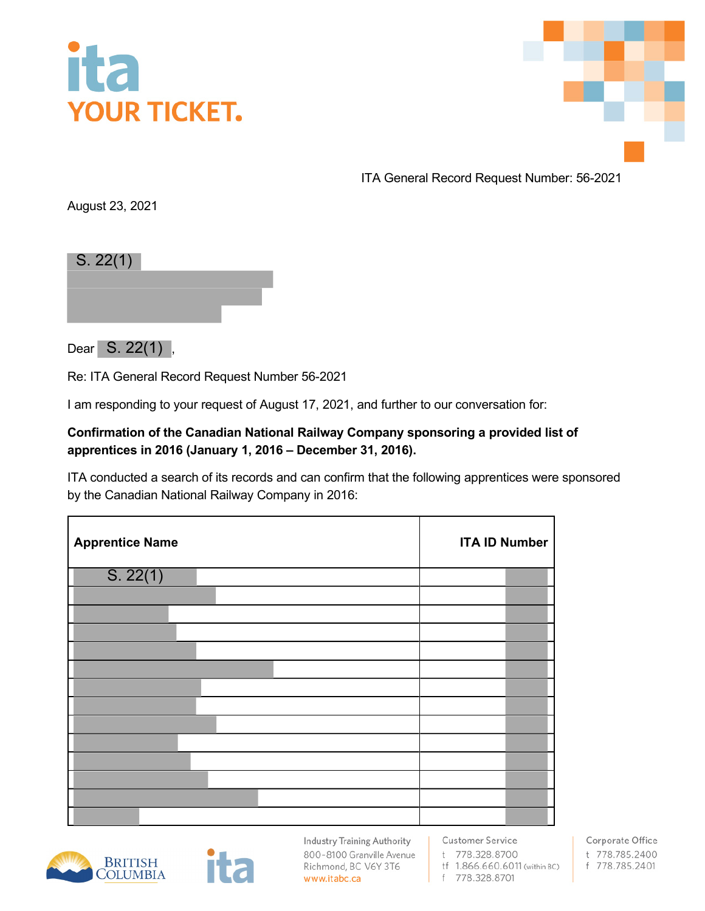



ITA General Record Request Number: 56-2021

August 23, 2021

| S. 22(1) |  |  |
|----------|--|--|
|          |  |  |
|          |  |  |
|          |  |  |

Dear S. 22(1),

Re: ITA General Record Request Number 56-2021

I am responding to your request of August 17, 2021, and further to our conversation for:

## **Confirmation of the Canadian National Railway Company sponsoring a provided list of apprentices in 2016 (January 1, 2016 – December 31, 2016).**

ITA conducted a search of its records and can confirm that the following apprentices were sponsored by the Canadian National Railway Company in 2016:

| <b>Apprentice Name</b> | <b>ITA ID Number</b> |  |
|------------------------|----------------------|--|
| S. 22(1)               |                      |  |
|                        |                      |  |
|                        |                      |  |
|                        |                      |  |
|                        |                      |  |
|                        |                      |  |
|                        |                      |  |
|                        |                      |  |
|                        |                      |  |
|                        |                      |  |
|                        |                      |  |
|                        |                      |  |
|                        |                      |  |
|                        |                      |  |





**Industry Training Authority** 800-8100 Granville Avenue Richmond, BC V6Y 3T6 www.itabc.ca

**Customer Service** t 778.328.8700

tf 1.866.660.6011 (within BC)

f 778.328.8701

Corporate Office t 778.785.2400 f 778.785.2401